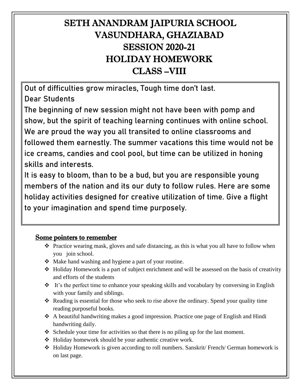## SETH ANANDRAM JAIPURIA SCHOOL VASUNDHARA, GHAZIABAD SESSION 2020-21 HOLIDAY HOMEWORK CLASS –VIII

Out of difficulties grow miracles, Tough time don't last.

Dear Students

The beginning of new session might not have been with pomp and show, but the spirit of teaching learning continues with online school. We are proud the way you all transited to online classrooms and followed them earnestly. The summer vacations this time would not be ice creams, candies and cool pool, but time can be utilized in honing skills and interests.

It is easy to bloom, than to be a bud, but you are responsible young members of the nation and its our duty to follow rules. Here are some holiday activities designed for creative utilization of time. Give a flight to your imagination and spend time purposely.

## Some pointers to remember

- ❖ Practice wearing mask, gloves and safe distancing, as this is what you all have to follow when you join school.
- ❖ Make hand washing and hygiene a part of your routine.
- ❖ Holiday Homework is a part of subject enrichment and will be assessed on the basis of creativity and efforts of the students
- ❖ It's the perfect time to enhance your speaking skills and vocabulary by conversing in English with your family and siblings.
- ❖ Reading is essential for those who seek to rise above the ordinary. Spend your quality time reading purposeful books.
- ❖ A beautiful handwriting makes a good impression. Practice one page of English and Hindi handwriting daily.
- ❖ Schedule your time for activities so that there is no piling up for the last moment.
- ❖ Holiday homework should be your authentic creative work.
- ❖ Holiday Homework is given according to roll numbers. Sanskrit/ French/ German homework is on last page.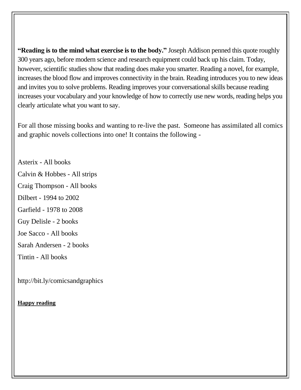**"Reading is to the mind what exercise is to the body."** Joseph Addison penned this quote roughly 300 years ago, before modern science and research equipment could back up his claim. Today, however, scientific [studies](http://news.stanford.edu/news/2012/september/austen-reading-fmri-090712.html) show that reading does make you smarter. Reading a novel, for example, increases the blood flow and improves connectivity in the brain. Reading introduces you to new ideas and invites you to solve problems. Reading improves your conversational skills because reading increases your vocabulary and your knowledge of how to correctly use new words, [reading](http://www.getunbound.org/blog/11-practical-ways-to-sharpen-your-communication-skills) helps you clearly [articulate](http://www.getunbound.org/blog/11-practical-ways-to-sharpen-your-communication-skills) what you want to say.

For all those missing books and wanting to re-live the past. Someone has assimilated all comics and graphic novels collections into one! It contains the following -

Asterix - All books Calvin & Hobbes - All strips Craig Thompson - All books Dilbert - 1994 to 2002 Garfield - 1978 to 2008 Guy Delisle - 2 books Joe Sacco - All books Sarah Andersen - 2 books Tintin - All books

http://bit.ly/comicsandgraphics

#### **Happy reading**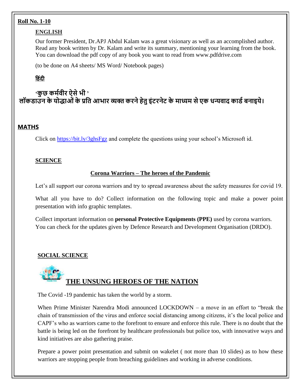#### **Roll No. 1-10**

#### **ENGLISH**

Our former President, Dr.APJ Abdul Kalam was a great visionary as well as an accomplished author. Read any book written by Dr. Kalam and write its summary, mentioning your learning from the book. You can download the pdf copy of any book you want to read from www.pdfdrive.com

(to be done on A4 sheets/ MS Word/ Notebook pages)

## **ह िंदी**

## **'कु छ कर्मवीर ऐसेभी ' लॉकडाउन केयोद्धाओंके प्रति आभार व्यक्त करनेहेिुइंटरनेट के र्ाध्यर् सेएक धन्यवाद काडमबनाइये।**

#### **MATHS**

Click on<https://bit.ly/3ghsFgz> and complete the questions using your school's Microsoft id.

#### **SCIENCE**

#### **Corona Warriors – The heroes of the Pandemic**

Let's all support our corona warriors and try to spread awareness about the safety measures for covid 19.

What all you have to do? Collect information on the following topic and make a power point presentation with info graphic templates.

Collect important information on **personal Protective Equipments (PPE)** used by corona warriors. You can check for the updates given by Defence Research and Development Organisation (DRDO).

#### **SOCIAL SCIENCE**

# **THE UNSUNG HEROES OF THE NATION**

The Covid -19 pandemic has taken the world by a storm.

When Prime Minister Narendra Modi announced LOCKDOWN – a move in an effort to "break the chain of transmission of the virus and enforce social distancing among citizens, it's the local police and CAPF's who as warriors came to the forefront to ensure and enforce this rule. There is no doubt that the battle is being led on the forefront by healthcare professionals but police too, with innovative ways and kind initiatives are also gathering praise.

Prepare a power point presentation and submit on wakelet ( not more than 10 slides) as to how these warriors are stopping people from breaching guidelines and working in adverse conditions.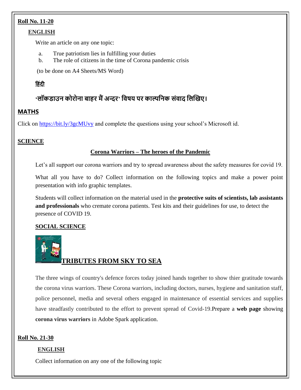#### **Roll No. 11-20**

#### **ENGLISH**

Write an article on any one topic:

- a. True patriotism lies in fulfilling your duties
- b. The role of citizens in the time of Corona pandemic crisis

(to be done on A4 Sheets/MS Word)

#### **ह िंदी**

## **'लॉकडाउन कोरोना बाहर र्ैंअन्दर' तवषय पर काल्पतनक संवाद तलखिए।**

#### **MATHS**

Click on<https://bit.ly/3gcMUvy> and complete the questions using your school's Microsoft id.

#### **SCIENCE**

#### **Corona Warriors – The heroes of the Pandemic**

Let's all support our corona warriors and try to spread awareness about the safety measures for covid 19.

What all you have to do? Collect information on the following topics and make a power point presentation with info graphic templates.

Students will collect information on the material used in the **protective suits of scientists, lab assistants and professionals** who cremate corona patients. Test kits and their guidelines for use, to detect the presence of COVID 19.

#### **SOCIAL SCIENCE**



## **TRIBUTES FROM SKY TO SEA**

The three wings of country's defence forces today joined hands together to show thier gratitude towards the corona virus warriors. These Corona warriors, including doctors, nurses, hygiene and sanitation staff, police personnel, media and several others engaged in maintenance of essential services and supplies have steadfastly contributed to the effort to prevent spread of Covid-19.Prepare a **web page** showing **corona virus warriors** in Adobe Spark application.

#### **Roll No. 21-30**

#### **ENGLISH**

Collect information on any one of the following topic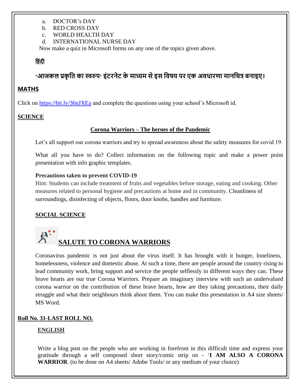- a. DOCTOR's DAY
- b. RED CROSS DAY
- c. WORLD HEALTH DAY
- d. INTERNATIONAL NURSE DAY

Now make a quiz in Microsoft forms on any one of the topics given above.

#### **ह िंदी**

## **'आजकल प्रकृ ति का स्वरुप' इंटरनेट के र्ाध्यर् सेइस तवषय पर एक अवधारणा र्ानतित्र बनाइए।**

#### **MATHS**

Click on<https://bit.ly/36nJXEa> and complete the questions using your school's Microsoft id.

#### **SCIENCE**

#### **Corona Warriors – The heroes of the Pandemic**

Let's all support our corona warriors and try to spread awareness about the safety measures for covid 19.

What all you have to do? Collect information on the following topic and make a power point presentation with info graphic templates.

#### **Precautions taken to prevent COVID-19**

Hint: Students can include treatment of fruits and vegetables before storage, eating and cooking. Other measures related to personal hygiene and precautions at home and in community. Cleanliness of surroundings, disinfecting of objects, floors, door knobs, handles and furniture.

#### **SOCIAL SCIENCE**

## **SALUTE TO CORONA WARRIORS**

Coronavirus pandemic is not just about the virus itself. It has brought with it hunger, loneliness, homelessness, violence and domestic abuse. At such a time, there are people around the country rising to lead community work, bring support and service the people selflessly in different ways they can. These brave hearts are our true Corona Warriors. Prepare an imaginary interview with such an undervalued corona warrior on the contribution of these brave hearts, how are they taking precautions, their daily struggle and what their neighbours think about them. You can make this presentation in A4 size sheets/ MS Word.

#### **Roll No. 31-LAST ROLL NO.**

#### **ENGLISH**

Write a blog post on the people who are working in forefront in this difficult time and express your gratitude through a self composed short story/comic strip on - '**I AM ALSO A CORONA WARRIOR**. (to be done on A4 sheets/ Adobe Tools/ or any medium of your choice)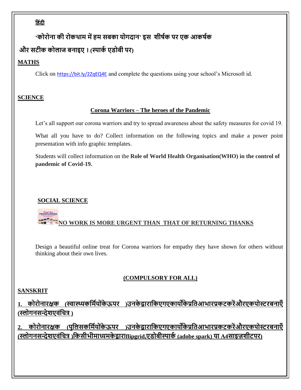## **ह िंदी**

## **'कोरोना की रोकथार् र्ेंहर् सबका योगदान' इस शीषमक पर एक आकषमक**

## **और सटीक कोलाज बनाइए । (स्पाकम एडोबी पर)**

## **MATHS**

Click on <https://bit.ly/2ZqEQ4E> and complete the questions using your school's Microsoft id.

#### **SCIENCE**

#### **Corona Warriors – The heroes of the Pandemic**

Let's all support our corona warriors and try to spread awareness about the safety measures for covid 19.

What all you have to do? Collect information on the following topics and make a power point presentation with info graphic templates.

Students will collect information on the **Role of World Health Organisation(WHO) in the control of pandemic of Covid-19.**

## **SOCIAL SCIENCE**

## **FRONTLINERS NO WORK IS MORE URGENT THAN THAT OF RETURNING THANKS**

Design a beautiful online treat for Corona warriors for empathy they have shown for others without thinking about their own lives.

## **(COMPULSORY FOR ALL)**

## **SANSKRIT**

**1. कोरोनारक्षक (स्वास्थ्यकतर्मयो ंके ऊपर )उनके द्वारातकएगएकायोंके प्रतिआभारप्रकटकरेंऔरएकपोस्टरबनाएँ (स्लोगनसन्देशएवंतित्र )**

**2. कोरोनारक्षक (पुतलसकतर्मयो ंके ऊपर )उनके द्वारातकएगएकायोंके प्रतिआभारप्रकटकरेंऔरएकपोस्टरबनाएँ (स्लोगनसन्देशएवंतित्र )तकसीभीर्ाध्यर्के द्वाराflipgrid,एडोबीस्पाकम (adobe spark) या A4साइज़शीटपर)**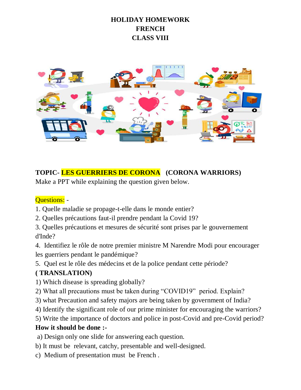## **HOLIDAY HOMEWORK FRENCH CLASS VIII**



## **TOPIC- LES GUERRIERS DE CORONA (CORONA WARRIORS)**

Make a PPT while explaining the question given below.

## Questions: -

- 1. Quelle maladie se propage-t-elle dans le monde entier?
- 2. Quelles précautions faut-il prendre pendant la Covid 19?
- 3. Quelles précautions et mesures de sécurité sont prises par le gouvernement d'Inde?

4. Identifiez le rôle de notre premier ministre M Narendre Modi pour encourager les guerriers pendant le pandémique?

5. Quel est le rôle des médecins et de la police pendant cette période?

## **( TRANSLATION)**

- 1) Which disease is spreading globally?
- 2) What all precautions must be taken during "COVID19" period. Explain?
- 3) what Precaution and safety majors are being taken by government of India?
- 4) Identify the significant role of our prime minister for encouraging the warriors?
- 5) Write the importance of doctors and police in post-Covid and pre-Covid period?

## **How it should be done :-**

a) Design only one slide for answering each question.

- b) It must be relevant, catchy, presentable and well-designed.
- c) Medium of presentation must be French .